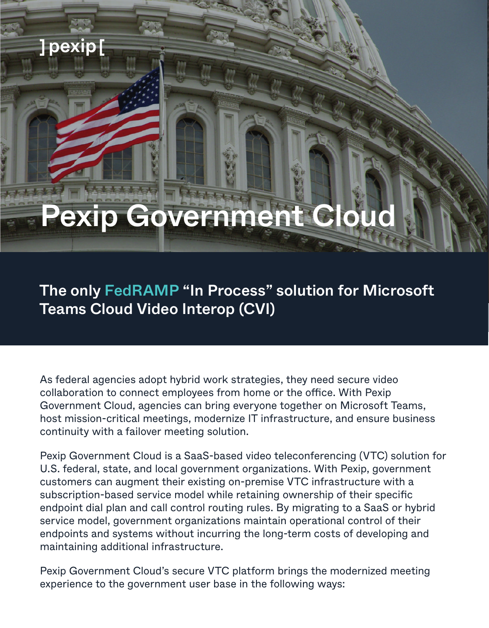## ]pexip[

# **Pexip Government Cloud**

The only FedRAMP "In Process" solution for Microsoft Teams Cloud Video Interop (CVI)

As federal agencies adopt hybrid work strategies, they need secure video collaboration to connect employees from home or the office. With Pexip Government Cloud, agencies can bring everyone together on Microsoft Teams, host mission-critical meetings, modernize IT infrastructure, and ensure business continuity with a failover meeting solution.

Pexip Government Cloud is a SaaS-based video teleconferencing (VTC) solution for U.S. federal, state, and local government organizations. With Pexip, government customers can augment their existing on-premise VTC infrastructure with a subscription-based service model while retaining ownership of their specific endpoint dial plan and call control routing rules. By migrating to a SaaS or hybrid service model, government organizations maintain operational control of their endpoints and systems without incurring the long-term costs of developing and maintaining additional infrastructure.

Pexip Government Cloud's secure VTC platform brings the modernized meeting experience to the government user base in the following ways: